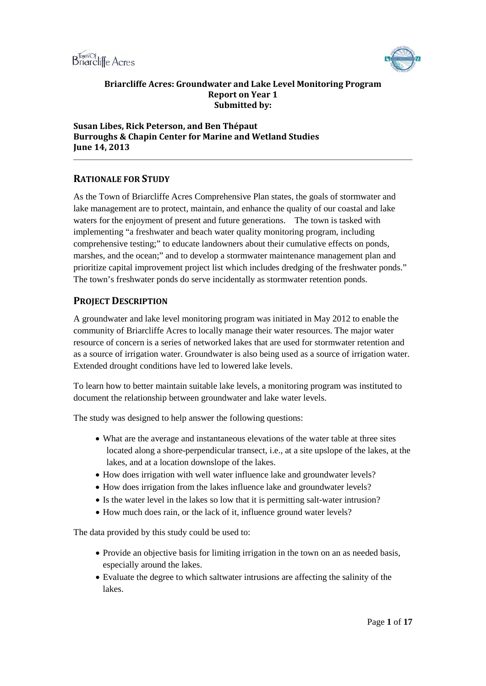



#### **Briarcliffe Acres: Groundwater and Lake Level Monitoring Program Report on Year 1 Submitted by:**

## **Susan Libes, Rick Peterson, and Ben Thépaut Burroughs & Chapin Center for Marine and Wetland Studies June 14, 2013**

# **RATIONALE FOR STUDY**

As the Town of Briarcliffe Acres Comprehensive Plan states, the goals of stormwater and lake management are to protect, maintain, and enhance the quality of our coastal and lake waters for the enjoyment of present and future generations. The town is tasked with implementing "a freshwater and beach water quality monitoring program, including comprehensive testing;" to educate landowners about their cumulative effects on ponds, marshes, and the ocean;" and to develop a stormwater maintenance management plan and prioritize capital improvement project list which includes dredging of the freshwater ponds." The town's freshwater ponds do serve incidentally as stormwater retention ponds.

# **PROJECT DESCRIPTION**

A groundwater and lake level monitoring program was initiated in May 2012 to enable the community of Briarcliffe Acres to locally manage their water resources. The major water resource of concern is a series of networked lakes that are used for stormwater retention and as a source of irrigation water. Groundwater is also being used as a source of irrigation water. Extended drought conditions have led to lowered lake levels.

To learn how to better maintain suitable lake levels, a monitoring program was instituted to document the relationship between groundwater and lake water levels.

The study was designed to help answer the following questions:

- What are the average and instantaneous elevations of the water table at three sites located along a shore-perpendicular transect, i.e., at a site upslope of the lakes, at the lakes, and at a location downslope of the lakes.
- How does irrigation with well water influence lake and groundwater levels?
- How does irrigation from the lakes influence lake and groundwater levels?
- Is the water level in the lakes so low that it is permitting salt-water intrusion?
- How much does rain, or the lack of it, influence ground water levels?

The data provided by this study could be used to:

- Provide an objective basis for limiting irrigation in the town on an as needed basis, especially around the lakes.
- Evaluate the degree to which saltwater intrusions are affecting the salinity of the lakes.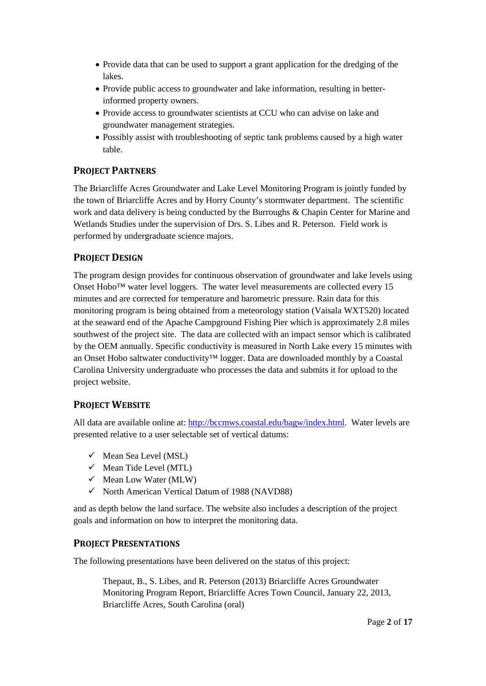- Provide data that can be used to support a grant application for the dredging of the lakes.
- Provide public access to groundwater and lake information, resulting in betterinformed property owners.
- Provide access to groundwater scientists at CCU who can advise on lake and groundwater management strategies.
- Possibly assist with troubleshooting of septic tank problems caused by a high water table.

# **PROJECT PARTNERS**

The Briarcliffe Acres Groundwater and Lake Level Monitoring Program is jointly funded by the town of Briarcliffe Acres and by Horry County's stormwater department. The scientific work and data delivery is being conducted by the Burroughs & Chapin Center for Marine and Wetlands Studies under the supervision of Drs. S. Libes and R. Peterson. Field work is performed by undergraduate science majors.

# **PROJECT DESIGN**

The program design provides for continuous observation of groundwater and lake levels using Onset  $Hobo^{TM}$  water level loggers. The water level measurements are collected every 15 minutes and are corrected for temperature and barometric pressure. Rain data for this monitoring program is being obtained from a meteorology station (Vaisala WXT520) located at the seaward end of the Apache Campground Fishing Pier which is approximately 2.8 miles southwest of the project site. The data are collected with an impact sensor which is calibrated by the OEM annually. Specific conductivity is measured in North Lake every 15 minutes with an Onset Hobo saltwater conductivity™ logger. Data are downloaded monthly by a Coastal Carolina University undergraduate who processes the data and submits it for upload to the project website.

# **PROJECT WEBSITE**

All data are available online at: [http://bccmws.coastal.edu/bagw/index.html.](http://bccmws.coastal.edu/bagw/index.html) Water levels are presented relative to a user selectable set of vertical datums:

- $\checkmark$  Mean Sea Level (MSL)
- $\checkmark$  Mean Tide Level (MTL)
- $\checkmark$  Mean Low Water (MLW)
- $\checkmark$  North American Vertical Datum of 1988 (NAVD88)

and as depth below the land surface. The website also includes a description of the project goals and information on how to interpret the monitoring data.

# **PROJECT PRESENTATIONS**

The following presentations have been delivered on the status of this project:

Thepaut, B., S. Libes, and R. Peterson (2013) Briarcliffe Acres Groundwater Monitoring Program Report, Briarcliffe Acres Town Council, January 22, 2013, Briarcliffe Acres, South Carolina (oral)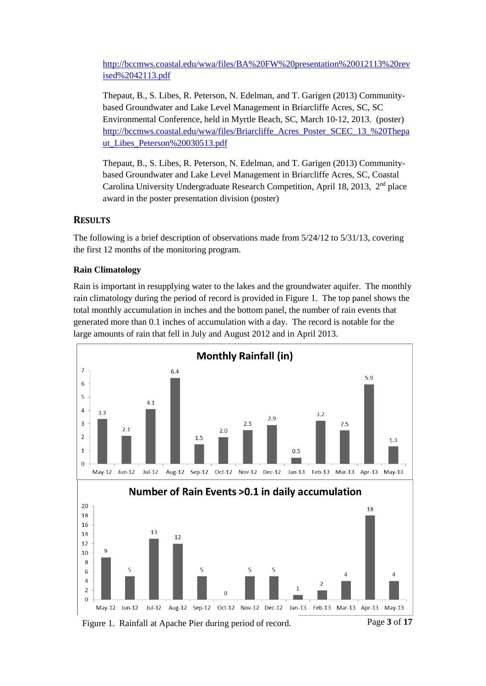[http://bccmws.coastal.edu/wwa/files/BA%20FW%20presentation%20012113%20rev](http://bccmws.coastal.edu/wwa/files/BA%20FW%20presentation%20012113%20revised%2042113.pdf) [ised%2042113.pdf](http://bccmws.coastal.edu/wwa/files/BA%20FW%20presentation%20012113%20revised%2042113.pdf)

Thepaut, B., S. Libes, R. Peterson, N. Edelman, and T. Garigen (2013) Communitybased Groundwater and Lake Level Management in Briarcliffe Acres, SC, SC Environmental Conference, held in Myrtle Beach, SC, March 10-12, 2013. (poster) [http://bccmws.coastal.edu/wwa/files/Briarcliffe\\_Acres\\_Poster\\_SCEC\\_13\\_%20Thepa](http://bccmws.coastal.edu/wwa/files/Briarcliffe_Acres_Poster_SCEC_13_%20Thepaut_Libes_Peterson%20030513.pdf) [ut\\_Libes\\_Peterson%20030513.pdf](http://bccmws.coastal.edu/wwa/files/Briarcliffe_Acres_Poster_SCEC_13_%20Thepaut_Libes_Peterson%20030513.pdf)

Thepaut, B., S. Libes, R. Peterson, N. Edelman, and T. Garigen (2013) Communitybased Groundwater and Lake Level Management in Briarcliffe Acres, SC, Coastal Carolina University Undergraduate Research Competition, April 18, 2013,  $2<sup>nd</sup>$  place award in the poster presentation division (poster)

# **RESULTS**

The following is a brief description of observations made from 5/24/12 to 5/31/13, covering the first 12 months of the monitoring program.

# **Rain Climatology**

Rain is important in resupplying water to the lakes and the groundwater aquifer. The monthly rain climatology during the period of record is provided in Figure 1. The top panel shows the total monthly accumulation in inches and the bottom panel, the number of rain events that generated more than 0.1 inches of accumulation with a day. The record is notable for the large amounts of rain that fell in July and August 2012 and in April 2013.



Figure 1. Rainfall at Apache Pier during period of record.

Page **3** of **17**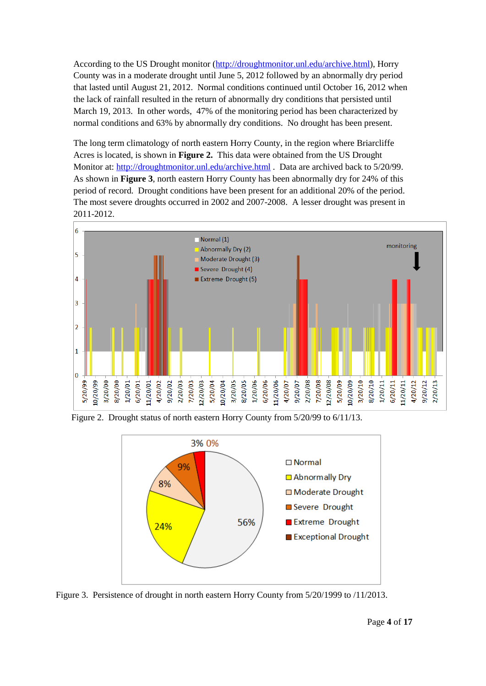According to the US Drought monitor [\(http://droughtmonitor.unl.edu/archive.html\)](https://outlook.coastal.edu/owa/redir.aspx?C=136ba7f8ad964f9d9b8cad1169c4f2cb&URL=http%3a%2f%2fdroughtmonitor.unl.edu%2farchive.html), Horry County was in a moderate drought until June 5, 2012 followed by an abnormally dry period that lasted until August 21, 2012. Normal conditions continued until October 16, 2012 when the lack of rainfall resulted in the return of abnormally dry conditions that persisted until March 19, 2013. In other words, 47% of the monitoring period has been characterized by normal conditions and 63% by abnormally dry conditions. No drought has been present.

The long term climatology of north eastern Horry County, in the region where Briarcliffe Acres is located, is shown in **Figure 2.** This data were obtained from the US Drought Monitor at: <http://droughtmonitor.unl.edu/archive.html> . Data are archived back to 5/20/99. As shown in **Figure 3**, north eastern Horry County has been abnormally dry for 24% of this period of record. Drought conditions have been present for an additional 20% of the period. The most severe droughts occurred in 2002 and 2007-2008. A lesser drought was present in 2011-2012.



Figure 2. Drought status of north eastern Horry County from 5/20/99 to 6/11/13.



Figure 3. Persistence of drought in north eastern Horry County from 5/20/1999 to /11/2013.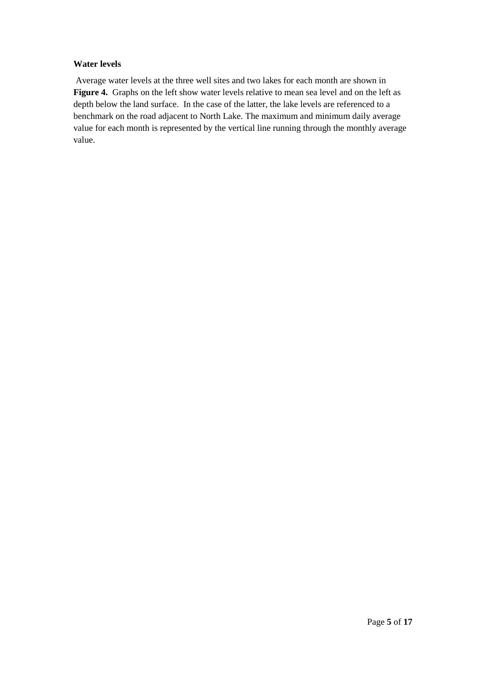### **Water levels**

Average water levels at the three well sites and two lakes for each month are shown in **Figure 4.** Graphs on the left show water levels relative to mean sea level and on the left as depth below the land surface. In the case of the latter, the lake levels are referenced to a benchmark on the road adjacent to North Lake. The maximum and minimum daily average value for each month is represented by the vertical line running through the monthly average value.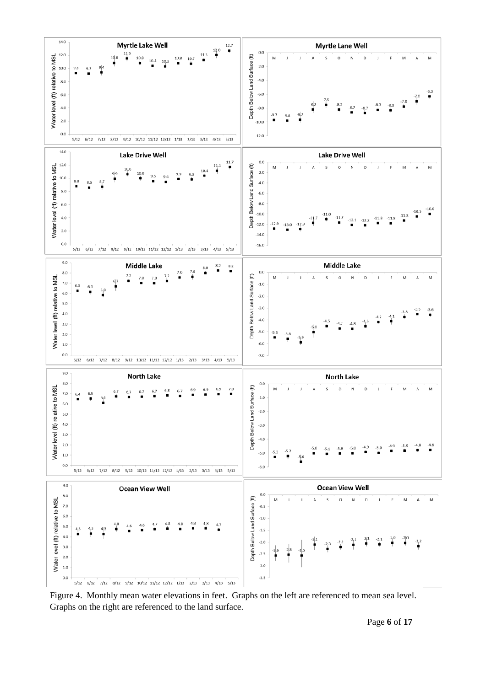

Figure 4. Monthly mean water elevations in feet. Graphs on the left are referenced to mean sea level. Graphs on the right are referenced to the land surface.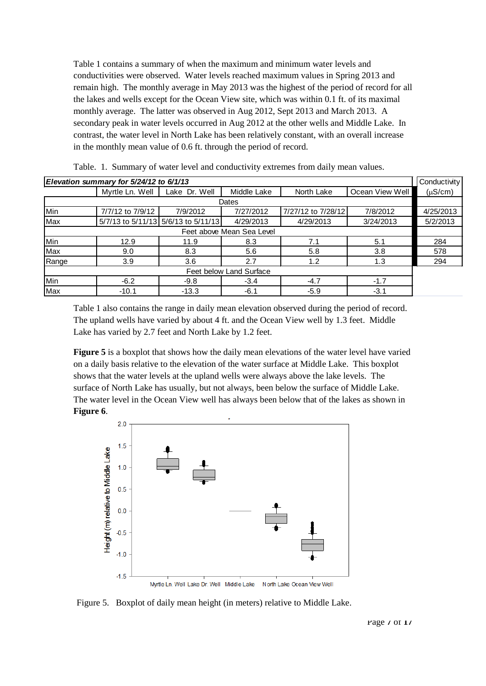Table 1 contains a summary of when the maximum and minimum water levels and conductivities were observed. Water levels reached maximum values in Spring 2013 and remain high. The monthly average in May 2013 was the highest of the period of record for all the lakes and wells except for the Ocean View site, which was within 0.1 ft. of its maximal monthly average. The latter was observed in Aug 2012, Sept 2013 and March 2013. A secondary peak in water levels occurred in Aug 2012 at the other wells and Middle Lake. In contrast, the water level in North Lake has been relatively constant, with an overall increase in the monthly mean value of 0.6 ft. through the period of record.

| Elevation summary for 5/24/12 to 6/1/13 |                  |                                     |             |                    |                 | Conductivity |
|-----------------------------------------|------------------|-------------------------------------|-------------|--------------------|-----------------|--------------|
|                                         | Myrtle Ln. Well  | Lake Dr. Well                       | Middle Lake | North Lake         | Ocean View Well | $(\mu S/cm)$ |
| Dates                                   |                  |                                     |             |                    |                 |              |
| Min                                     | 7/7/12 to 7/9/12 | 7/9/2012                            | 7/27/2012   | 7/27/12 to 7/28/12 | 7/8/2012        | 4/25/2013    |
| Max                                     |                  | 5/7/13 to 5/11/13 5/6/13 to 5/11/13 | 4/29/2013   | 4/29/2013          | 3/24/2013       | 5/2/2013     |
| Feet above Mean Sea Level               |                  |                                     |             |                    |                 |              |
| Min                                     | 12.9             | 11.9                                | 8.3         | 7.1                | 5.1             | 284          |
| Max                                     | 9.0              | 8.3                                 | 5.6         | 5.8                | 3.8             | 578          |
| Range                                   | 3.9              | 3.6                                 | 2.7         | 1.2                | 1.3             | 294          |
| Feet below Land Surface                 |                  |                                     |             |                    |                 |              |
| Min                                     | $-6.2$           | $-9.8$                              | $-3.4$      | $-4.7$             | $-1.7$          |              |
| Max                                     | $-10.1$          | $-13.3$                             | $-6.1$      | $-5.9$             | $-3.1$          |              |

Table. 1. Summary of water level and conductivity extremes from daily mean values.

Table 1 also contains the range in daily mean elevation observed during the period of record. The upland wells have varied by about 4 ft. and the Ocean View well by 1.3 feet. Middle Lake has varied by 2.7 feet and North Lake by 1.2 feet.

**Figure 5** is a boxplot that shows how the daily mean elevations of the water level have varied on a daily basis relative to the elevation of the water surface at Middle Lake. This boxplot shows that the water levels at the upland wells were always above the lake levels. The surface of North Lake has usually, but not always, been below the surface of Middle Lake. The water level in the Ocean View well has always been below that of the lakes as shown in **Figure 6**.



Figure 5. Boxplot of daily mean height (in meters) relative to Middle Lake.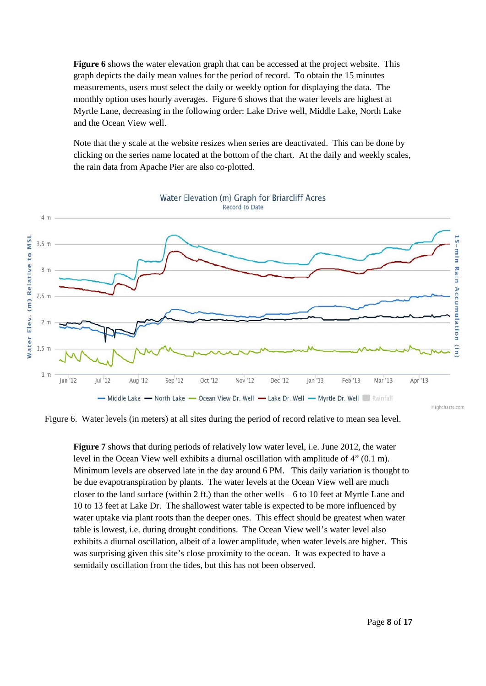**Figure 6** shows the water elevation graph that can be accessed at the project website. This graph depicts the daily mean values for the period of record. To obtain the 15 minutes measurements, users must select the daily or weekly option for displaying the data. The monthly option uses hourly averages. Figure 6 shows that the water levels are highest at Myrtle Lane, decreasing in the following order: Lake Drive well, Middle Lake, North Lake and the Ocean View well.

Note that the y scale at the website resizes when series are deactivated. This can be done by clicking on the series name located at the bottom of the chart. At the daily and weekly scales, the rain data from Apache Pier are also co-plotted.



Water Elevation (m) Graph for Briarcliff Acres Record to Date

Figure 6. Water levels (in meters) at all sites during the period of record relative to mean sea level.

**Figure 7** shows that during periods of relatively low water level, i.e. June 2012, the water level in the Ocean View well exhibits a diurnal oscillation with amplitude of 4" (0.1 m). Minimum levels are observed late in the day around 6 PM. This daily variation is thought to be due evapotranspiration by plants. The water levels at the Ocean View well are much closer to the land surface (within 2 ft.) than the other wells – 6 to 10 feet at Myrtle Lane and 10 to 13 feet at Lake Dr. The shallowest water table is expected to be more influenced by water uptake via plant roots than the deeper ones. This effect should be greatest when water table is lowest, i.e. during drought conditions. The Ocean View well's water level also exhibits a diurnal oscillation, albeit of a lower amplitude, when water levels are higher. This was surprising given this site's close proximity to the ocean. It was expected to have a semidaily oscillation from the tides, but this has not been observed.

Highcharts.com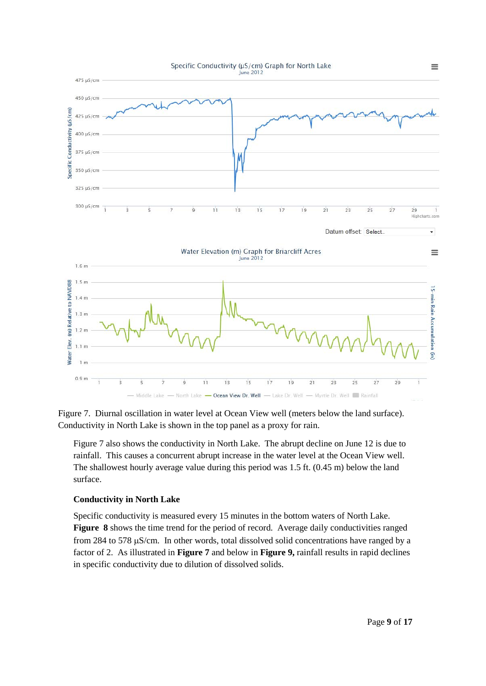

Figure 7. Diurnal oscillation in water level at Ocean View well (meters below the land surface). Conductivity in North Lake is shown in the top panel as a proxy for rain.

Figure 7 also shows the conductivity in North Lake. The abrupt decline on June 12 is due to rainfall. This causes a concurrent abrupt increase in the water level at the Ocean View well. The shallowest hourly average value during this period was 1.5 ft. (0.45 m) below the land surface.

## **Conductivity in North Lake**

Specific conductivity is measured every 15 minutes in the bottom waters of North Lake. **Figure 8** shows the time trend for the period of record. Average daily conductivities ranged from 284 to 578 µS/cm. In other words, total dissolved solid concentrations have ranged by a factor of 2. As illustrated in **Figure 7** and below in **Figure 9,** rainfall results in rapid declines in specific conductivity due to dilution of dissolved solids.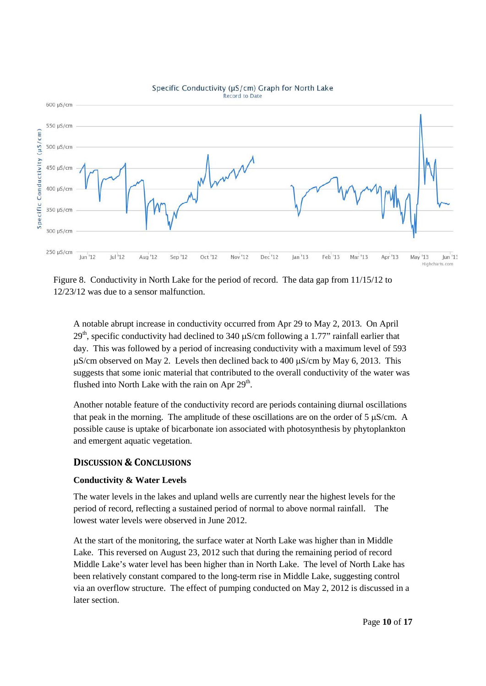

#### Specific Conductivity (µS/cm) Graph for North Lake Record to Date

Figure 8. Conductivity in North Lake for the period of record. The data gap from 11/15/12 to 12/23/12 was due to a sensor malfunction.

A notable abrupt increase in conductivity occurred from Apr 29 to May 2, 2013. On April  $29<sup>th</sup>$ , specific conductivity had declined to 340  $\mu$ S/cm following a 1.77" rainfall earlier that day. This was followed by a period of increasing conductivity with a maximum level of 593 µS/cm observed on May 2. Levels then declined back to 400 µS/cm by May 6, 2013. This suggests that some ionic material that contributed to the overall conductivity of the water was flushed into North Lake with the rain on Apr  $29<sup>th</sup>$ .

Another notable feature of the conductivity record are periods containing diurnal oscillations that peak in the morning. The amplitude of these oscillations are on the order of 5 µS/cm. A possible cause is uptake of bicarbonate ion associated with photosynthesis by phytoplankton and emergent aquatic vegetation.

## **DISCUSSION & CONCLUSIONS**

## **Conductivity & Water Levels**

The water levels in the lakes and upland wells are currently near the highest levels for the period of record, reflecting a sustained period of normal to above normal rainfall. The lowest water levels were observed in June 2012.

At the start of the monitoring, the surface water at North Lake was higher than in Middle Lake. This reversed on August 23, 2012 such that during the remaining period of record Middle Lake's water level has been higher than in North Lake. The level of North Lake has been relatively constant compared to the long-term rise in Middle Lake, suggesting control via an overflow structure. The effect of pumping conducted on May 2, 2012 is discussed in a later section.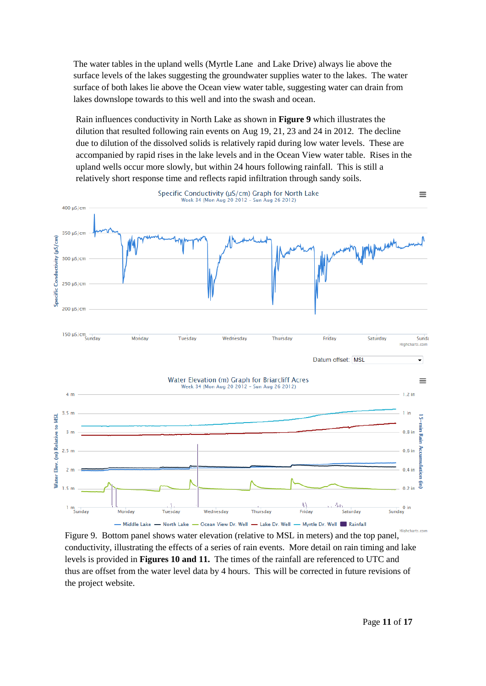The water tables in the upland wells (Myrtle Lane and Lake Drive) always lie above the surface levels of the lakes suggesting the groundwater supplies water to the lakes. The water surface of both lakes lie above the Ocean view water table, suggesting water can drain from lakes downslope towards to this well and into the swash and ocean.

Rain influences conductivity in North Lake as shown in **Figure 9** which illustrates the dilution that resulted following rain events on Aug 19, 21, 23 and 24 in 2012. The decline due to dilution of the dissolved solids is relatively rapid during low water levels. These are accompanied by rapid rises in the lake levels and in the Ocean View water table. Rises in the upland wells occur more slowly, but within 24 hours following rainfall. This is still a relatively short response time and reflects rapid infiltration through sandy soils.



Figure 9. Bottom panel shows water elevation (relative to MSL in meters) and the top panel, conductivity, illustrating the effects of a series of rain events. More detail on rain timing and lake levels is provided in **Figures 10 and 11.** The times of the rainfall are referenced to UTC and thus are offset from the water level data by 4 hours. This will be corrected in future revisions of the project website.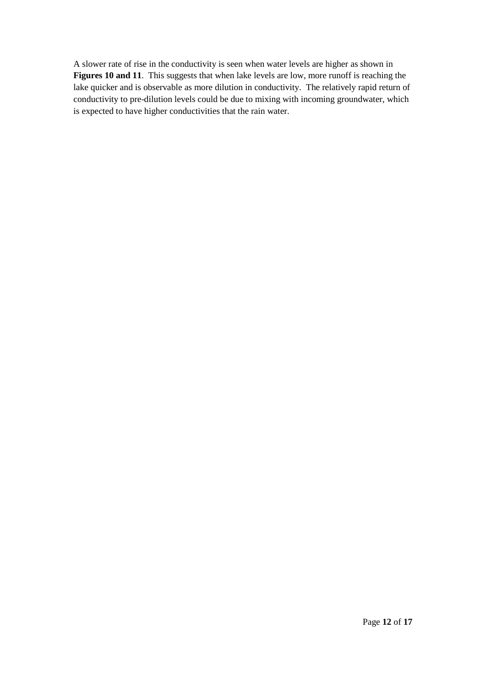A slower rate of rise in the conductivity is seen when water levels are higher as shown in **Figures 10 and 11**. This suggests that when lake levels are low, more runoff is reaching the lake quicker and is observable as more dilution in conductivity. The relatively rapid return of conductivity to pre-dilution levels could be due to mixing with incoming groundwater, which is expected to have higher conductivities that the rain water.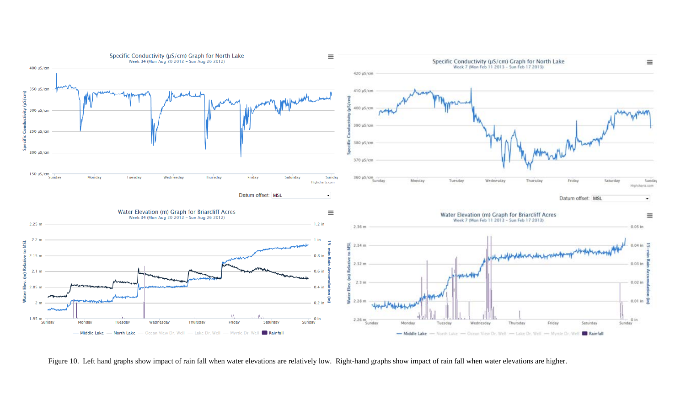

Figure 10. Left hand graphs show impact of rain fall when water elevations are relatively low. Right-hand graphs show impact of rain fall when water elevations are higher.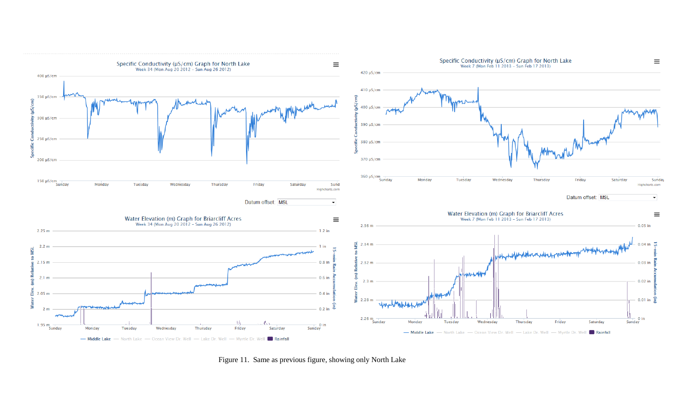

Figure 11. Same as previous figure, showing only North Lake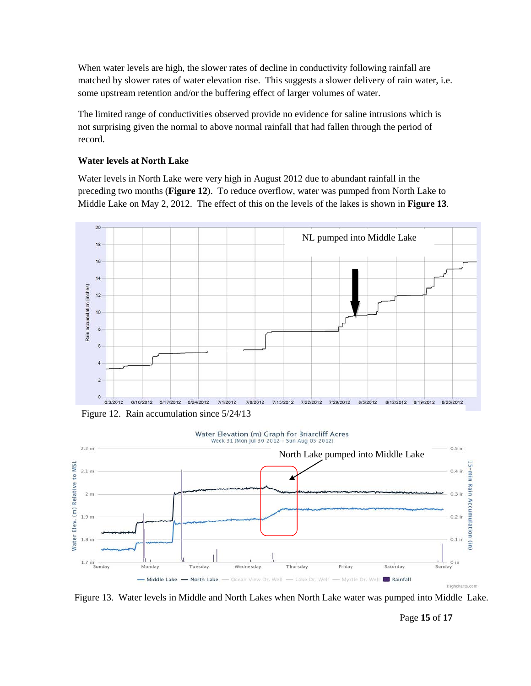When water levels are high, the slower rates of decline in conductivity following rainfall are matched by slower rates of water elevation rise. This suggests a slower delivery of rain water, i.e. some upstream retention and/or the buffering effect of larger volumes of water.

The limited range of conductivities observed provide no evidence for saline intrusions which is not surprising given the normal to above normal rainfall that had fallen through the period of record.

#### **Water levels at North Lake**

Water levels in North Lake were very high in August 2012 due to abundant rainfall in the preceding two months (**Figure 12**). To reduce overflow, water was pumped from North Lake to Middle Lake on May 2, 2012. The effect of this on the levels of the lakes is shown in **Figure 13**.



Figure 12. Rain accumulation since 5/24/13



Figure 13. Water levels in Middle and North Lakes when North Lake water was pumped into Middle Lake.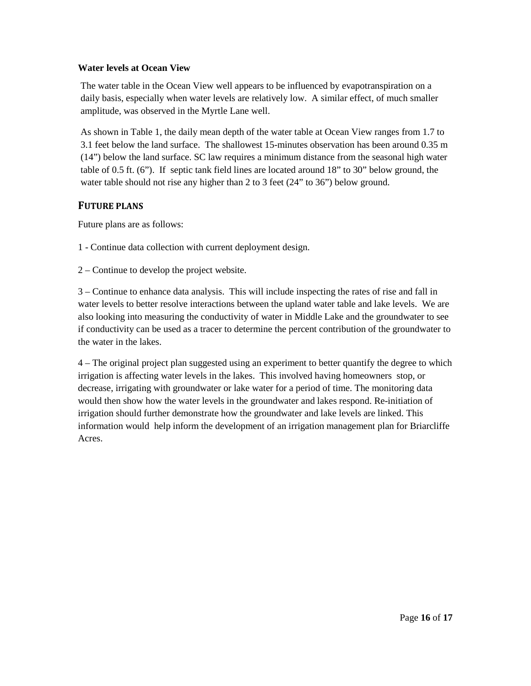### **Water levels at Ocean View**

The water table in the Ocean View well appears to be influenced by evapotranspiration on a daily basis, especially when water levels are relatively low. A similar effect, of much smaller amplitude, was observed in the Myrtle Lane well.

As shown in Table 1, the daily mean depth of the water table at Ocean View ranges from 1.7 to 3.1 feet below the land surface. The shallowest 15-minutes observation has been around 0.35 m (14") below the land surface. SC law requires a minimum distance from the seasonal high water table of 0.5 ft. (6"). If septic tank field lines are located around 18" to 30" below ground, the water table should not rise any higher than 2 to 3 feet (24" to 36") below ground.

# **FUTURE PLANS**

Future plans are as follows:

- 1 Continue data collection with current deployment design.
- 2 Continue to develop the project website.

3 – Continue to enhance data analysis. This will include inspecting the rates of rise and fall in water levels to better resolve interactions between the upland water table and lake levels. We are also looking into measuring the conductivity of water in Middle Lake and the groundwater to see if conductivity can be used as a tracer to determine the percent contribution of the groundwater to the water in the lakes.

4 – The original project plan suggested using an experiment to better quantify the degree to which irrigation is affecting water levels in the lakes. This involved having homeowners stop, or decrease, irrigating with groundwater or lake water for a period of time. The monitoring data would then show how the water levels in the groundwater and lakes respond. Re-initiation of irrigation should further demonstrate how the groundwater and lake levels are linked. This information would help inform the development of an irrigation management plan for Briarcliffe Acres.